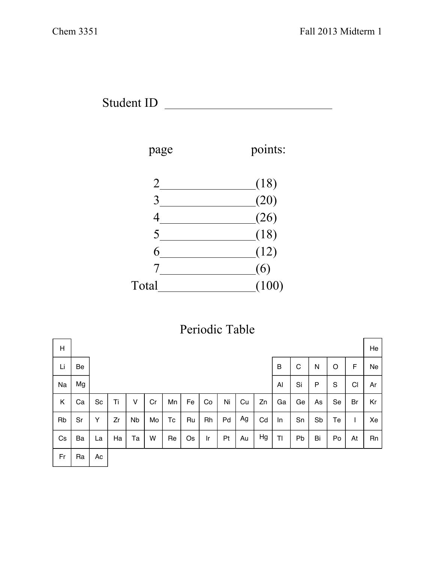



| Periodic Table |  |
|----------------|--|
|----------------|--|

| H  |    |    |    |           |    |    |    |    |    |    |    |                |    |    |             |    | He |
|----|----|----|----|-----------|----|----|----|----|----|----|----|----------------|----|----|-------------|----|----|
| Li | Be |    |    |           |    |    |    |    |    |    |    | B              | C  | N  | $\circ$     | F  | Ne |
| Na | Mg |    |    |           |    |    |    |    |    |    |    | Al             | Si | P  | $\mathbf S$ | CI | Ar |
| Κ  | Ca | Sc | Ti | v         | Cr | Mn | Fe | Co | Ni | Cu | Zn | Ga             | Ge | As | Se          | Br | Kr |
| Rb | Sr | Y  | Zr | <b>Nb</b> | Mo | Тc | Ru | Rh | Pd | Ag | Cd | In             | Sn | Sb | Te          |    | Xe |
| Cs | Ba | La | Ha | Та        | W  | Re | Os | Ir | Pt | Au | Hg | T <sub>1</sub> | Pb | Bi | Po          | At | Rn |
| Fr | Ra | Ac |    |           |    |    |    |    |    |    |    |                |    |    |             |    |    |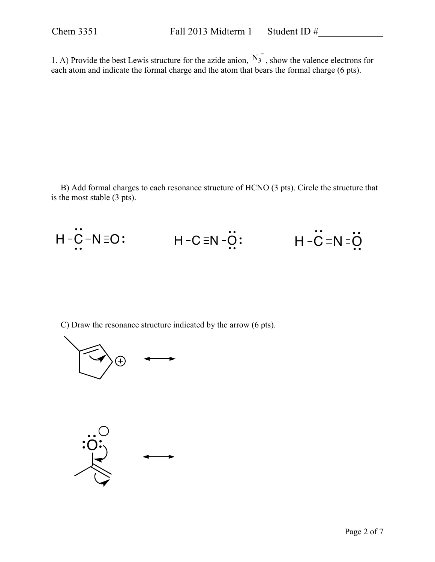1. A) Provide the best Lewis structure for the azide anion,  $N_3$ , show the valence electrons for each atom and indicate the formal charge and the atom that bears the formal charge (6 pts).

B) Add formal charges to each resonance structure of HCNO (3 pts). Circle the structure that is the most stable (3 pts).

$$
H - \ddot{C} - N = O: \qquad H - C = N - \ddot{O}: \qquad H - \ddot{C} = N = \ddot{O}
$$

C) Draw the resonance structure indicated by the arrow (6 pts).



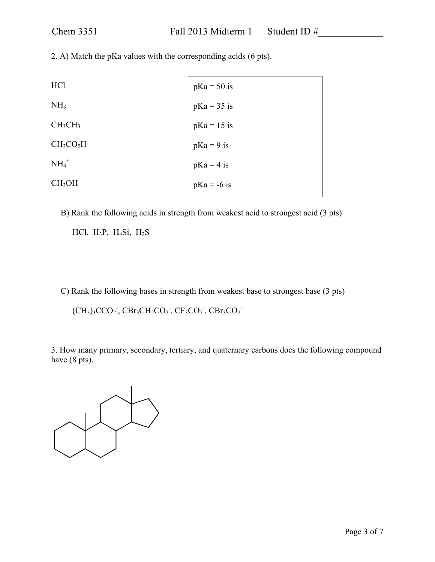2. A) Match the pKa values with the corresponding acids (6 pts).

| HC <sub>1</sub>                   | $pKa = 50$ is |
|-----------------------------------|---------------|
| NH <sub>3</sub>                   | $pKa = 35$ is |
| CH <sub>3</sub> CH <sub>3</sub>   | $pKa = 15$ is |
| CH <sub>3</sub> CO <sub>2</sub> H | $pKa = 9$ is  |
| $NH4+$                            | $pKa = 4$ is  |
| CH <sub>3</sub> OH                | $pKa = -6$ is |

B) Rank the following acids in strength from weakest acid to strongest acid (3 pts)

HCl,  $H_3P$ ,  $H_4Si$ ,  $H_2S$ 

C) Rank the following bases in strength from weakest base to strongest base (3 pts)

 $(CH_3)_3CCO_2$ ,  $CBr_3CH_2CO_2$ ,  $CF_3CO_2$ ,  $CBr_3CO_2$ 

3. How many primary, secondary, tertiary, and quaternary carbons does the following compound have (8 pts).

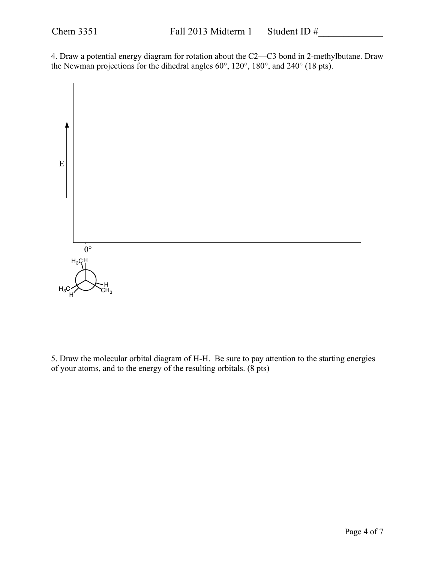4. Draw a potential energy diagram for rotation about the C2—C3 bond in 2-methylbutane. Draw the Newman projections for the dihedral angles 60°, 120°, 180°, and 240° (18 pts).



5. Draw the molecular orbital diagram of H-H. Be sure to pay attention to the starting energies of your atoms, and to the energy of the resulting orbitals. (8 pts)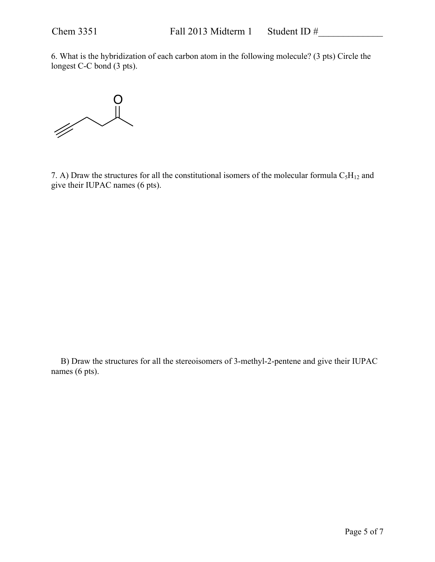6. What is the hybridization of each carbon atom in the following molecule? (3 pts) Circle the longest C-C bond (3 pts).



7. A) Draw the structures for all the constitutional isomers of the molecular formula  $C_5H_{12}$  and give their IUPAC names (6 pts).

B) Draw the structures for all the stereoisomers of 3-methyl-2-pentene and give their IUPAC names (6 pts).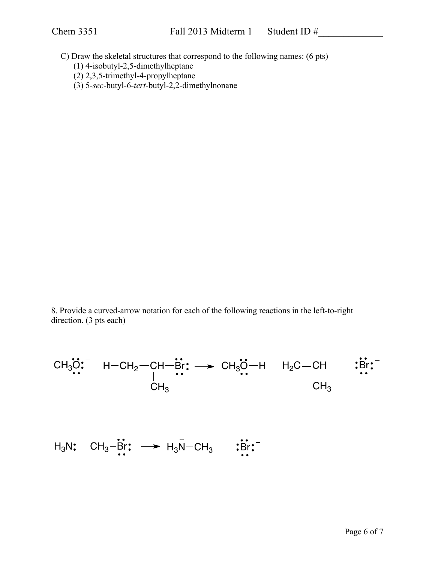C) Draw the skeletal structures that correspond to the following names: (6 pts)

- (1) 4-isobutyl-2,5-dimethylheptane
- (2) 2,3,5-trimethyl-4-propylheptane
- (3) 5-*sec*-butyl-6-*tert*-butyl-2,2-dimethylnonane

8. Provide a curved-arrow notation for each of the following reactions in the left-to-right direction. (3 pts each)

$$
\begin{array}{cccc}\nCH_3\ddot{\mathbf{O}} & H-CH_2-CH-\dot{B}r & \rightarrow & CH_3\ddot{\mathbf{O}}-H & H_2C=CH & :& \dot{B}r \cdot \\ & | & \cdots & \ddots & \ddots \\ & & CH_3 & & CH_3\n\end{array}
$$

$$
H_3N: CH_3-\mathbf{B}r: \longrightarrow H_3N-CH_3 \qquad \mathbf{B}r: \qquad
$$